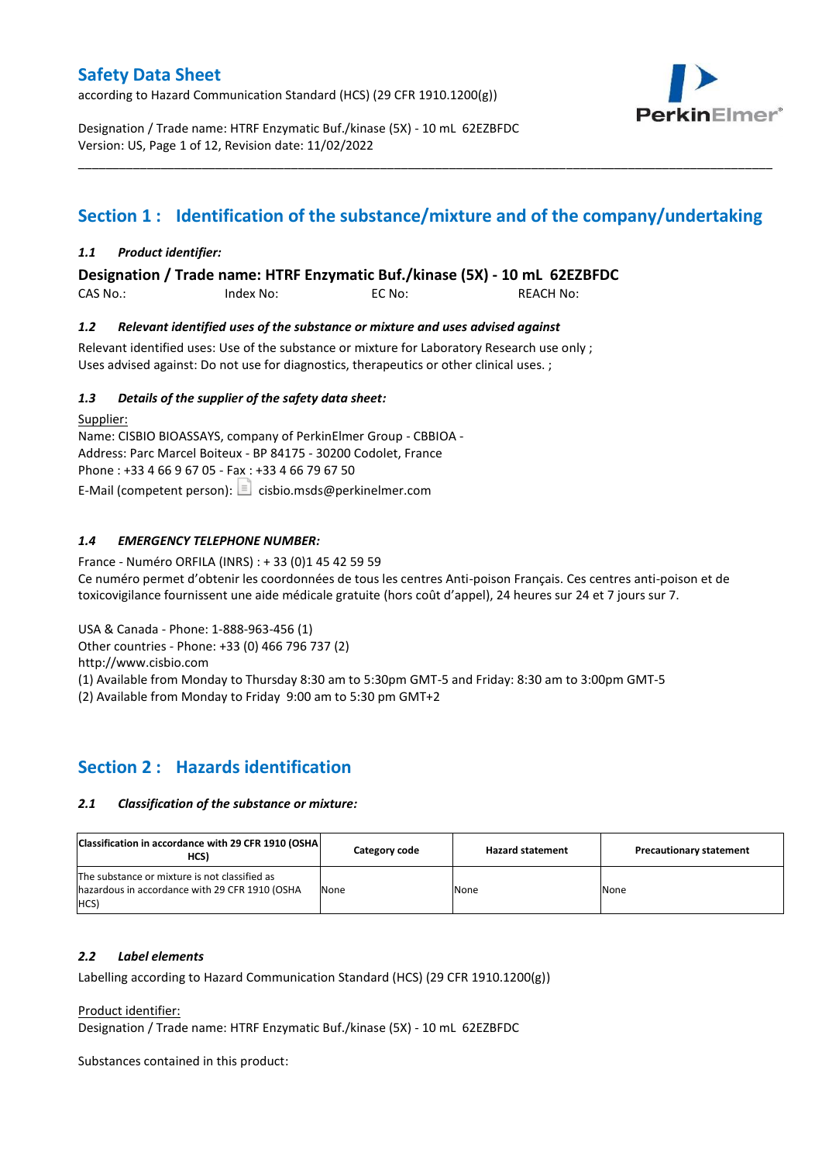according to Hazard Communication Standard (HCS) (29 CFR 1910.1200(g))



Designation / Trade name: HTRF Enzymatic Buf./kinase (5X) - 10 mL 62EZBFDC Version: US, Page 1 of 12, Revision date: 11/02/2022

# **Section 1 : Identification of the substance/mixture and of the company/undertaking**

\_\_\_\_\_\_\_\_\_\_\_\_\_\_\_\_\_\_\_\_\_\_\_\_\_\_\_\_\_\_\_\_\_\_\_\_\_\_\_\_\_\_\_\_\_\_\_\_\_\_\_\_\_\_\_\_\_\_\_\_\_\_\_\_\_\_\_\_\_\_\_\_\_\_\_\_\_\_\_\_\_\_\_\_\_\_\_\_\_\_\_\_\_\_\_\_\_\_\_\_\_

## *1.1 Product identifier:*

**Designation / Trade name: HTRF Enzymatic Buf./kinase (5X) - 10 mL 62EZBFDC** 

CAS No.: Index No: EC No: REACH No:

## *1.2 Relevant identified uses of the substance or mixture and uses advised against*

Relevant identified uses: Use of the substance or mixture for Laboratory Research use only ; Uses advised against: Do not use for diagnostics, therapeutics or other clinical uses. ;

## *1.3 Details of the supplier of the safety data sheet:*

Supplier: Name: CISBIO BIOASSAYS, company of PerkinElmer Group - CBBIOA - Address: Parc Marcel Boiteux - BP 84175 - 30200 Codolet, France Phone : +33 4 66 9 67 05 - Fax : +33 4 66 79 67 50 E-Mail (competent person):  $\Box$  cisbio.msds@perkinelmer.com

## *1.4 EMERGENCY TELEPHONE NUMBER:*

France - Numéro ORFILA (INRS) : + 33 (0)1 45 42 59 59 Ce numéro permet d'obtenir les coordonnées de tous les centres Anti-poison Français. Ces centres anti-poison et de toxicovigilance fournissent une aide médicale gratuite (hors coût d'appel), 24 heures sur 24 et 7 jours sur 7.

USA & Canada - Phone: 1-888-963-456 (1)

Other countries - Phone: +33 (0) 466 796 737 (2)

http://www.cisbio.com

(1) Available from Monday to Thursday 8:30 am to 5:30pm GMT-5 and Friday: 8:30 am to 3:00pm GMT-5

(2) Available from Monday to Friday 9:00 am to 5:30 pm GMT+2

## **Section 2 : Hazards identification**

#### *2.1 Classification of the substance or mixture:*

| Classification in accordance with 29 CFR 1910 (OSHA)<br>HCS)                                            | Category code | <b>Hazard statement</b> | <b>Precautionary statement</b> |
|---------------------------------------------------------------------------------------------------------|---------------|-------------------------|--------------------------------|
| The substance or mixture is not classified as<br>hazardous in accordance with 29 CFR 1910 (OSHA<br>HCS) | None          | None                    | None                           |

#### *2.2 Label elements*

Labelling according to Hazard Communication Standard (HCS) (29 CFR 1910.1200(g))

Product identifier:

Designation / Trade name: HTRF Enzymatic Buf./kinase (5X) - 10 mL 62EZBFDC

Substances contained in this product: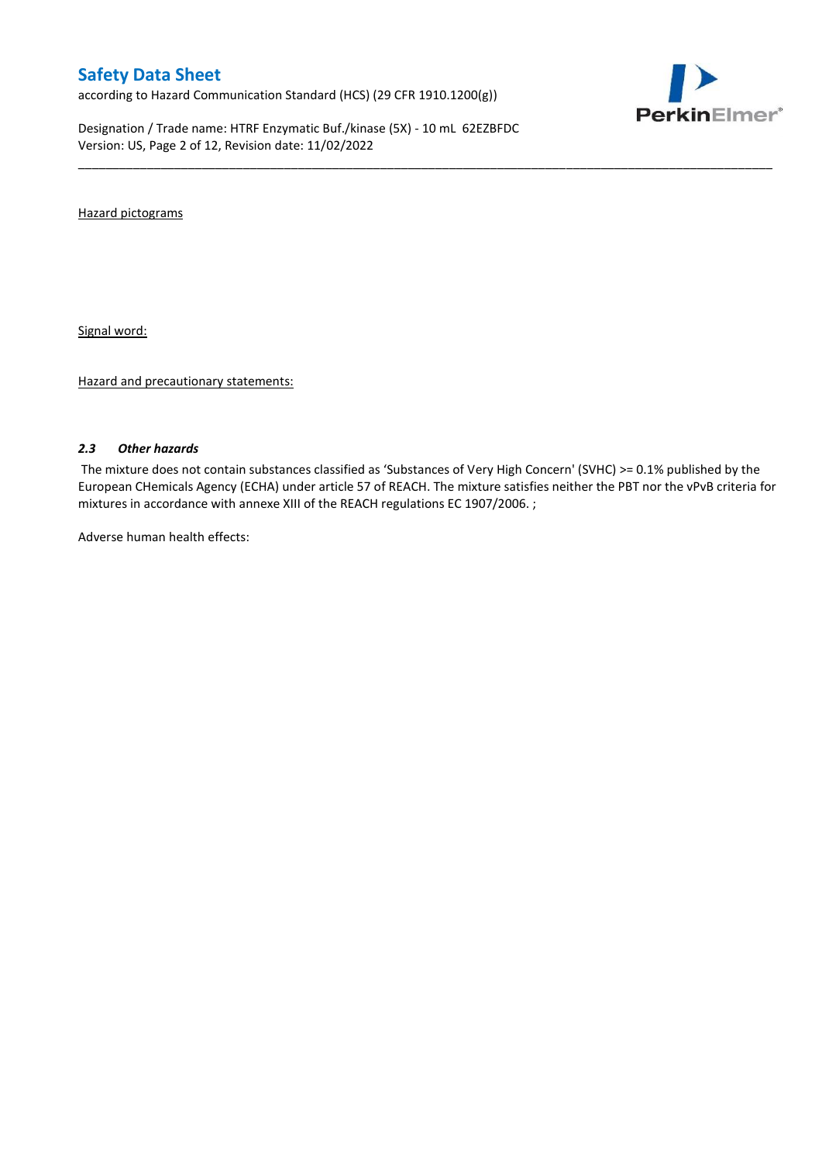according to Hazard Communication Standard (HCS) (29 CFR 1910.1200(g))

Designation / Trade name: HTRF Enzymatic Buf./kinase (5X) - 10 mL 62EZBFDC Version: US, Page 2 of 12, Revision date: 11/02/2022



Hazard pictograms

Signal word:

Hazard and precautionary statements:

#### *2.3 Other hazards*

The mixture does not contain substances classified as 'Substances of Very High Concern' (SVHC) >= 0.1% published by the European CHemicals Agency (ECHA) under article 57 of REACH. The mixture satisfies neither the PBT nor the vPvB criteria for mixtures in accordance with annexe XIII of the REACH regulations EC 1907/2006. ;

\_\_\_\_\_\_\_\_\_\_\_\_\_\_\_\_\_\_\_\_\_\_\_\_\_\_\_\_\_\_\_\_\_\_\_\_\_\_\_\_\_\_\_\_\_\_\_\_\_\_\_\_\_\_\_\_\_\_\_\_\_\_\_\_\_\_\_\_\_\_\_\_\_\_\_\_\_\_\_\_\_\_\_\_\_\_\_\_\_\_\_\_\_\_\_\_\_\_\_\_\_

Adverse human health effects: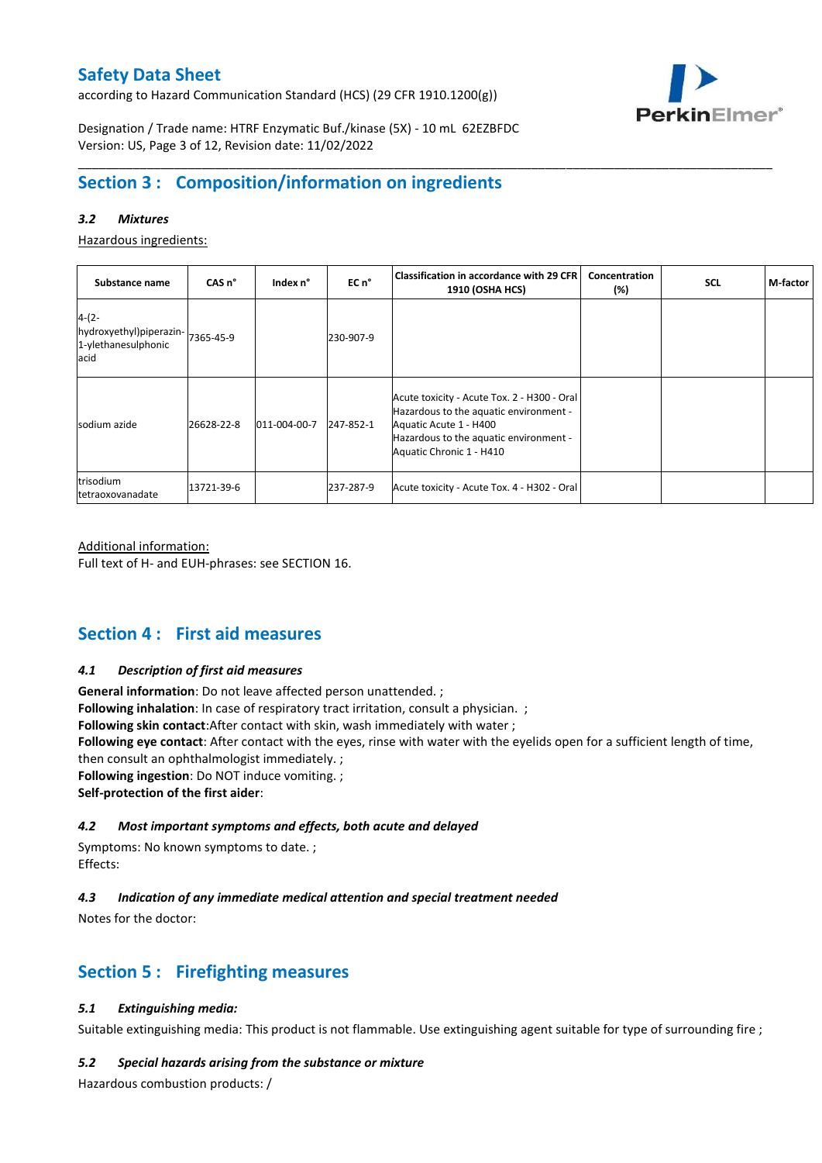according to Hazard Communication Standard (HCS) (29 CFR 1910.1200(g))



Designation / Trade name: HTRF Enzymatic Buf./kinase (5X) - 10 mL 62EZBFDC Version: US, Page 3 of 12, Revision date: 11/02/2022

# **Section 3 : Composition/information on ingredients**

## *3.2 Mixtures*

Hazardous ingredients:

| Substance name                                                    | CAS <sub>n</sub> ° | Index n°     | EC n <sup>o</sup> | <b>Classification in accordance with 29 CFR</b><br><b>1910 (OSHA HCS)</b>                                                                                                             | Concentration<br>$(\%)$ | <b>SCL</b> | M-factor |
|-------------------------------------------------------------------|--------------------|--------------|-------------------|---------------------------------------------------------------------------------------------------------------------------------------------------------------------------------------|-------------------------|------------|----------|
| $4-(2-$<br>hydroxyethyl)piperazin-<br>1-ylethanesulphonic<br>acid | 7365-45-9          |              | 230-907-9         |                                                                                                                                                                                       |                         |            |          |
| sodium azide                                                      | 26628-22-8         | 011-004-00-7 | 247-852-1         | Acute toxicity - Acute Tox. 2 - H300 - Oral<br>Hazardous to the aquatic environment -<br>Aquatic Acute 1 - H400<br>Hazardous to the aquatic environment -<br>Aquatic Chronic 1 - H410 |                         |            |          |
| trisodium<br>tetraoxovanadate                                     | 13721-39-6         |              | 237-287-9         | Acute toxicity - Acute Tox. 4 - H302 - Oral                                                                                                                                           |                         |            |          |

\_\_\_\_\_\_\_\_\_\_\_\_\_\_\_\_\_\_\_\_\_\_\_\_\_\_\_\_\_\_\_\_\_\_\_\_\_\_\_\_\_\_\_\_\_\_\_\_\_\_\_\_\_\_\_\_\_\_\_\_\_\_\_\_\_\_\_\_\_\_\_\_\_\_\_\_\_\_\_\_\_\_\_\_\_\_\_\_\_\_\_\_\_\_\_\_\_\_\_\_\_

#### Additional information:

Full text of H- and EUH-phrases: see SECTION 16.

## **Section 4 : First aid measures**

#### *4.1 Description of first aid measures*

**General information**: Do not leave affected person unattended. ; **Following inhalation**: In case of respiratory tract irritation, consult a physician. ; **Following skin contact**:After contact with skin, wash immediately with water ; **Following eye contact**: After contact with the eyes, rinse with water with the eyelids open for a sufficient length of time, then consult an ophthalmologist immediately. ; **Following ingestion**: Do NOT induce vomiting. ; **Self-protection of the first aider**:

#### *4.2 Most important symptoms and effects, both acute and delayed*

Symptoms: No known symptoms to date. ; Effects:

## *4.3 Indication of any immediate medical attention and special treatment needed*

Notes for the doctor:

# **Section 5 : Firefighting measures**

## *5.1 Extinguishing media:*

Suitable extinguishing media: This product is not flammable. Use extinguishing agent suitable for type of surrounding fire ;

#### *5.2 Special hazards arising from the substance or mixture*

Hazardous combustion products: /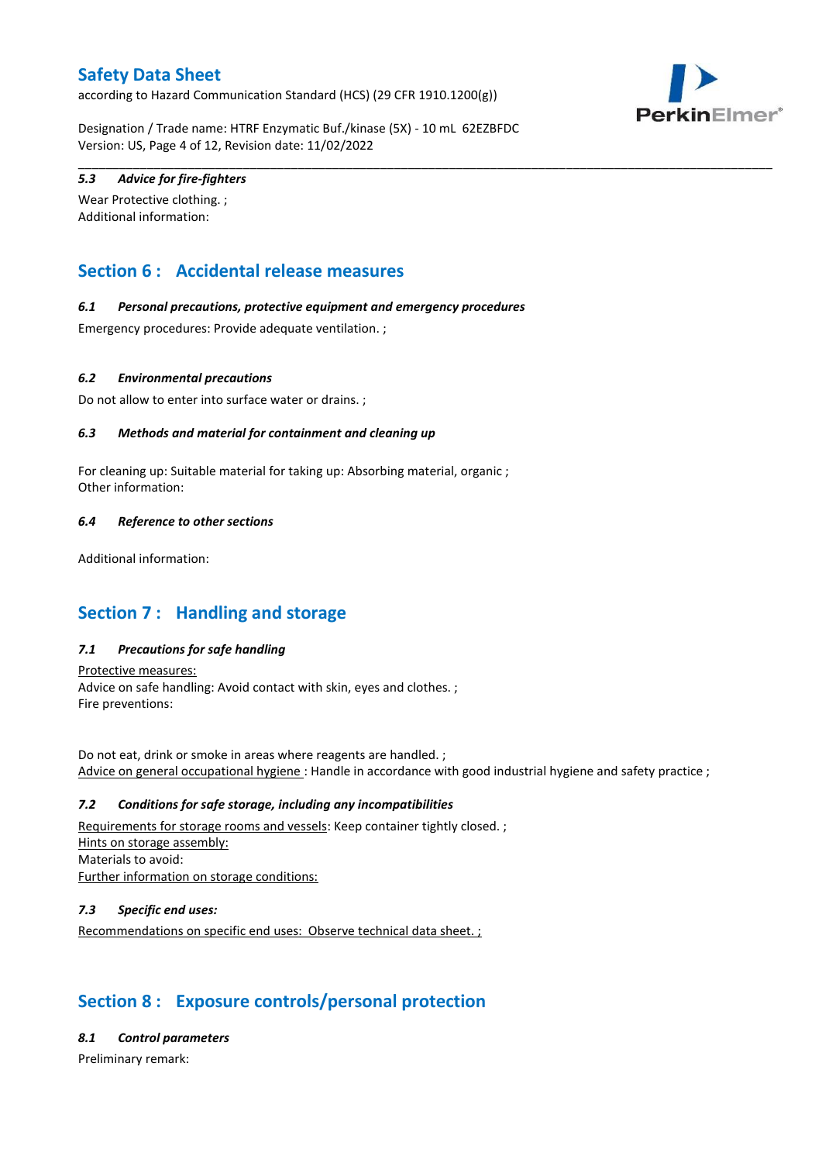according to Hazard Communication Standard (HCS) (29 CFR 1910.1200(g))



Designation / Trade name: HTRF Enzymatic Buf./kinase (5X) - 10 mL 62EZBFDC Version: US, Page 4 of 12, Revision date: 11/02/2022

\_\_\_\_\_\_\_\_\_\_\_\_\_\_\_\_\_\_\_\_\_\_\_\_\_\_\_\_\_\_\_\_\_\_\_\_\_\_\_\_\_\_\_\_\_\_\_\_\_\_\_\_\_\_\_\_\_\_\_\_\_\_\_\_\_\_\_\_\_\_\_\_\_\_\_\_\_\_\_\_\_\_\_\_\_\_\_\_\_\_\_\_\_\_\_\_\_\_\_\_\_

## *5.3 Advice for fire-fighters*

Wear Protective clothing. ; Additional information:

# **Section 6 : Accidental release measures**

## *6.1 Personal precautions, protective equipment and emergency procedures*

Emergency procedures: Provide adequate ventilation. ;

## *6.2 Environmental precautions*

Do not allow to enter into surface water or drains. ;

## *6.3 Methods and material for containment and cleaning up*

For cleaning up: Suitable material for taking up: Absorbing material, organic ; Other information:

## *6.4 Reference to other sections*

Additional information:

# **Section 7 : Handling and storage**

## *7.1 Precautions for safe handling*

Protective measures: Advice on safe handling: Avoid contact with skin, eyes and clothes. ; Fire preventions:

Do not eat, drink or smoke in areas where reagents are handled. ; Advice on general occupational hygiene : Handle in accordance with good industrial hygiene and safety practice ;

#### *7.2 Conditions for safe storage, including any incompatibilities*

Requirements for storage rooms and vessels: Keep container tightly closed. ; Hints on storage assembly: Materials to avoid: Further information on storage conditions:

## *7.3 Specific end uses:*

Recommendations on specific end uses: Observe technical data sheet. ;

# **Section 8 : Exposure controls/personal protection**

#### *8.1 Control parameters*

Preliminary remark: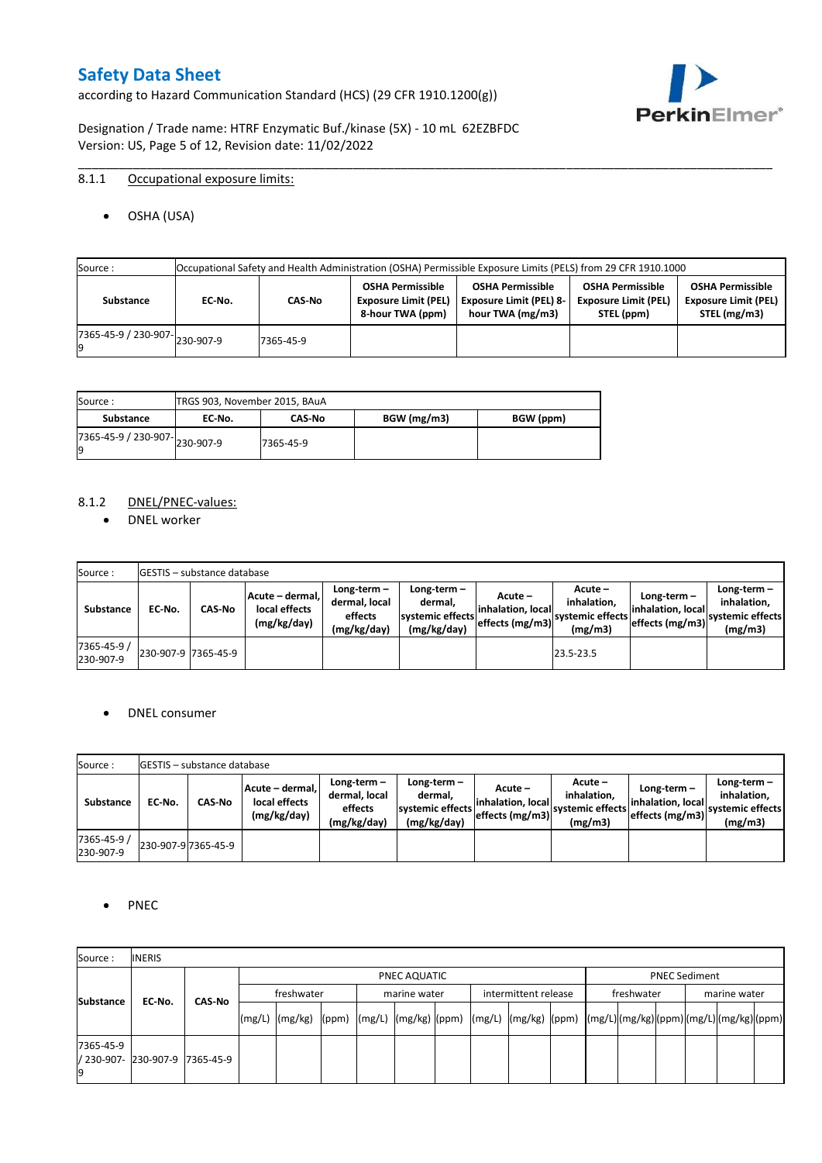according to Hazard Communication Standard (HCS) (29 CFR 1910.1200(g))



Designation / Trade name: HTRF Enzymatic Buf./kinase (5X) - 10 mL 62EZBFDC Version: US, Page 5 of 12, Revision date: 11/02/2022

## 8.1.1 Occupational exposure limits:

OSHA (USA)

| Source:                             | Occupational Safety and Health Administration (OSHA) Permissible Exposure Limits (PELS) from 29 CFR 1910.1000 |           |                                                                            |                                                                               |                                                                      |                                                                        |  |  |
|-------------------------------------|---------------------------------------------------------------------------------------------------------------|-----------|----------------------------------------------------------------------------|-------------------------------------------------------------------------------|----------------------------------------------------------------------|------------------------------------------------------------------------|--|--|
| Substance                           | EC No.                                                                                                        | CAS-No    | <b>OSHA Permissible</b><br><b>Exposure Limit (PEL)</b><br>8-hour TWA (ppm) | <b>OSHA Permissible</b><br><b>Exposure Limit (PEL) 8-</b><br>hour TWA (mg/m3) | <b>OSHA Permissible</b><br><b>Exposure Limit (PEL)</b><br>STEL (ppm) | <b>OSHA Permissible</b><br><b>Exposure Limit (PEL)</b><br>STEL (mg/m3) |  |  |
| $(7365-45-9) / 230-907$ $230-907-9$ |                                                                                                               | 7365-45-9 |                                                                            |                                                                               |                                                                      |                                                                        |  |  |

\_\_\_\_\_\_\_\_\_\_\_\_\_\_\_\_\_\_\_\_\_\_\_\_\_\_\_\_\_\_\_\_\_\_\_\_\_\_\_\_\_\_\_\_\_\_\_\_\_\_\_\_\_\_\_\_\_\_\_\_\_\_\_\_\_\_\_\_\_\_\_\_\_\_\_\_\_\_\_\_\_\_\_\_\_\_\_\_\_\_\_\_\_\_\_\_\_\_\_\_\_

| Source :                       | TRGS 903, November 2015, BAuA |               |             |           |
|--------------------------------|-------------------------------|---------------|-------------|-----------|
| Substance                      | EC No.                        | <b>CAS-No</b> | BGW (mg/m3) | BGW (ppm) |
| ./365-45-9 / 230-907-230-907-9 |                               | 7365-45-9     |             |           |

## 8.1.2 DNEL/PNEC-values:

• DNEL worker

| Source:                  |                     | <b>IGESTIS – substance database</b> |                                                 |                                                          |                                                             |                                                  |                                                       |                                                          |                                                             |
|--------------------------|---------------------|-------------------------------------|-------------------------------------------------|----------------------------------------------------------|-------------------------------------------------------------|--------------------------------------------------|-------------------------------------------------------|----------------------------------------------------------|-------------------------------------------------------------|
| Substance                | EC-No.              | <b>CAS-No</b>                       | Acute – dermal,<br>local effects<br>(mg/kg/day) | Long-term $-$<br>dermal, local<br>effects<br>(mg/kg/day) | Long-term $-$<br>dermal,<br>systemic effects<br>(mg/kg/day) | Acute –<br>linhalation. local<br>effects (mg/m3) | Acute -<br>inhalation.<br>systemic effects<br>(mg/m3) | Long-term $-$<br>linhalation. local<br>effects (mg/m3) ` | $Long-term -$<br>inhalation.<br>systemic effects<br>(mg/m3) |
| 7365-45-9 /<br>230-907-9 | 230-907-9 7365-45-9 |                                     |                                                 |                                                          |                                                             |                                                  | 23.5-23.5                                             |                                                          |                                                             |

#### DNEL consumer

| Source:                  |        | <b>IGESTIS – substance database</b> |                                                 |                                                          |                                                             |                                                        |                                                       |                                                        |                                                             |
|--------------------------|--------|-------------------------------------|-------------------------------------------------|----------------------------------------------------------|-------------------------------------------------------------|--------------------------------------------------------|-------------------------------------------------------|--------------------------------------------------------|-------------------------------------------------------------|
| Substance                | EC No. | CAS-No                              | Acute - dermal,<br>local effects<br>(mg/kg/day) | Long-term $-$<br>dermal, local<br>effects<br>(mg/kg/day) | $Long-term -$<br>dermal.<br>systemic effects<br>(mg/kg/day) | Acute –<br>linhalation. local<br>$effects$ (mg/m3) $ $ | Acute -<br>inhalation.<br>systemic effects<br>(mg/m3) | $Long-term -$<br>linhalation. local<br>effects (mg/m3) | Long-term $-$<br>inhalation.<br>systemic effects<br>(mg/m3) |
| 7365-45-9 /<br>230-907-9 |        | 230-907-9 7365-45-9                 |                                                 |                                                          |                                                             |                                                        |                                                       |                                                        |                                                             |

## • PNEC

| Source:                                 | <b>INERIS</b> |               |            |                                                                                                                                                                                                                                                                                                                                                                                                                                                                                               |  |  |              |  |                      |  |                      |  |  |              |  |  |  |
|-----------------------------------------|---------------|---------------|------------|-----------------------------------------------------------------------------------------------------------------------------------------------------------------------------------------------------------------------------------------------------------------------------------------------------------------------------------------------------------------------------------------------------------------------------------------------------------------------------------------------|--|--|--------------|--|----------------------|--|----------------------|--|--|--------------|--|--|--|
|                                         |               |               |            | PNEC AQUATIC                                                                                                                                                                                                                                                                                                                                                                                                                                                                                  |  |  |              |  |                      |  | <b>PNEC Sediment</b> |  |  |              |  |  |  |
| <b>Substance</b>                        | EC-No.        | <b>CAS No</b> | freshwater |                                                                                                                                                                                                                                                                                                                                                                                                                                                                                               |  |  | marine water |  | intermittent release |  | freshwater           |  |  | marine water |  |  |  |
|                                         |               |               |            | $\lceil (mg/L) \rceil \cdot (mg/kg) \cdot (ppm) \cdot (mg/L) \cdot (mg/kg) \cdot (ppm) \cdot (mg/L) \cdot (mg/kg) \cdot (ppm) \cdot (mg/L) \cdot (mg/L) \cdot (mg/L) \cdot (mg/L) \cdot (mg/L) \cdot (mg/L) \cdot (mg/L) \cdot (mg/L) \cdot (mg/L) \cdot (mg/L) \cdot (mg/L) \cdot (mg/L) \cdot (mg/L) \cdot (mg/L) \cdot (mg/L) \cdot (mg/L) \cdot (gm/L) \cdot (gm/L) \cdot (gm/L) \cdot (mg/L) \cdot (mg/L) \cdot (gm/L) \cdot (gm/L) \cdot (gm/L) \cdot (gm/L) \cdot (gm/L) \cdot (gm/L)$ |  |  |              |  |                      |  |                      |  |  |              |  |  |  |
| 7365-45-9<br>/ 230-907- 230-907-9<br>19 |               | 7365-45-9     |            |                                                                                                                                                                                                                                                                                                                                                                                                                                                                                               |  |  |              |  |                      |  |                      |  |  |              |  |  |  |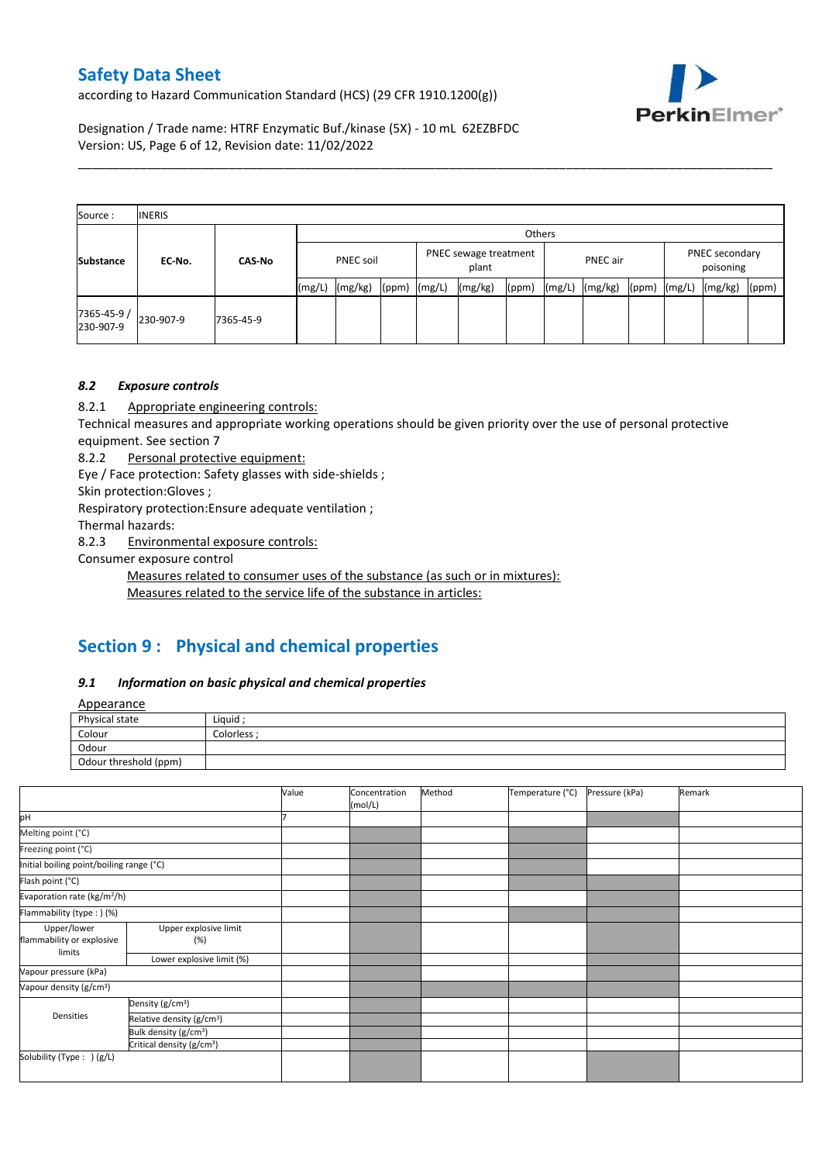according to Hazard Communication Standard (HCS) (29 CFR 1910.1200(g))



Designation / Trade name: HTRF Enzymatic Buf./kinase (5X) - 10 mL 62EZBFDC Version: US, Page 6 of 12, Revision date: 11/02/2022

| Source:                 | <b>INERIS</b> |               |                  |         |                  |                                |         |       |          |         |       |                             |         |       |
|-------------------------|---------------|---------------|------------------|---------|------------------|--------------------------------|---------|-------|----------|---------|-------|-----------------------------|---------|-------|
|                         | EC-No.        | <b>CAS-No</b> |                  | Others  |                  |                                |         |       |          |         |       |                             |         |       |
| <b>Substance</b>        |               |               | <b>PNEC soil</b> |         |                  | PNEC sewage treatment<br>plant |         |       | PNEC air |         |       | PNEC secondary<br>poisoning |         |       |
|                         |               |               | (mg/L)           | (mg/kg) | $(ppm)$ $(mg/L)$ |                                | (mg/kg) | (ppm) | (mg/L)   | (mg/kg) | (ppm) | (mg/L)                      | (mg/kg) | (ppm) |
| 7365-45-9/<br>230-907-9 | 230-907-9     | 7365-45-9     |                  |         |                  |                                |         |       |          |         |       |                             |         |       |

\_\_\_\_\_\_\_\_\_\_\_\_\_\_\_\_\_\_\_\_\_\_\_\_\_\_\_\_\_\_\_\_\_\_\_\_\_\_\_\_\_\_\_\_\_\_\_\_\_\_\_\_\_\_\_\_\_\_\_\_\_\_\_\_\_\_\_\_\_\_\_\_\_\_\_\_\_\_\_\_\_\_\_\_\_\_\_\_\_\_\_\_\_\_\_\_\_\_\_\_\_

## *8.2 Exposure controls*

8.2.1 Appropriate engineering controls:

Technical measures and appropriate working operations should be given priority over the use of personal protective equipment. See section 7

8.2.2 Personal protective equipment:

Eye / Face protection: Safety glasses with side-shields ;

Skin protection:Gloves ;

Respiratory protection:Ensure adequate ventilation ;

Thermal hazards:

8.2.3 Environmental exposure controls:

Consumer exposure control

Measures related to consumer uses of the substance (as such or in mixtures):

Measures related to the service life of the substance in articles:

# **Section 9 : Physical and chemical properties**

#### *9.1 Information on basic physical and chemical properties*

**Annearance** 

| n                     |                  |
|-----------------------|------------------|
| Physical state        | Liquid           |
| Colour                | <b>Colorless</b> |
| Odour                 |                  |
| Odour threshold (ppm) |                  |

|                                          |                                       | Value | Concentration<br>(mol/L) | Method | Temperature (°C) | Pressure (kPa) | Remark |
|------------------------------------------|---------------------------------------|-------|--------------------------|--------|------------------|----------------|--------|
| pH                                       |                                       |       |                          |        |                  |                |        |
| Melting point (°C)                       |                                       |       |                          |        |                  |                |        |
| Freezing point (°C)                      |                                       |       |                          |        |                  |                |        |
| Initial boiling point/boiling range (°C) |                                       |       |                          |        |                  |                |        |
| Flash point (°C)                         |                                       |       |                          |        |                  |                |        |
| Evaporation rate (kg/m <sup>2</sup> /h)  |                                       |       |                          |        |                  |                |        |
| Flammability (type:) (%)                 |                                       |       |                          |        |                  |                |        |
| Upper/lower<br>flammability or explosive | Upper explosive limit<br>(%)          |       |                          |        |                  |                |        |
| limits                                   | Lower explosive limit (%)             |       |                          |        |                  |                |        |
| Vapour pressure (kPa)                    |                                       |       |                          |        |                  |                |        |
| Vapour density (g/cm <sup>3</sup> )      |                                       |       |                          |        |                  |                |        |
|                                          | Density (g/cm <sup>3</sup> )          |       |                          |        |                  |                |        |
| Densities                                | Relative density (g/cm <sup>3</sup> ) |       |                          |        |                  |                |        |
|                                          | Bulk density (g/cm <sup>3</sup> )     |       |                          |        |                  |                |        |
|                                          | Critical density (g/cm <sup>3</sup> ) |       |                          |        |                  |                |        |
| Solubility (Type: ) (g/L)                |                                       |       |                          |        |                  |                |        |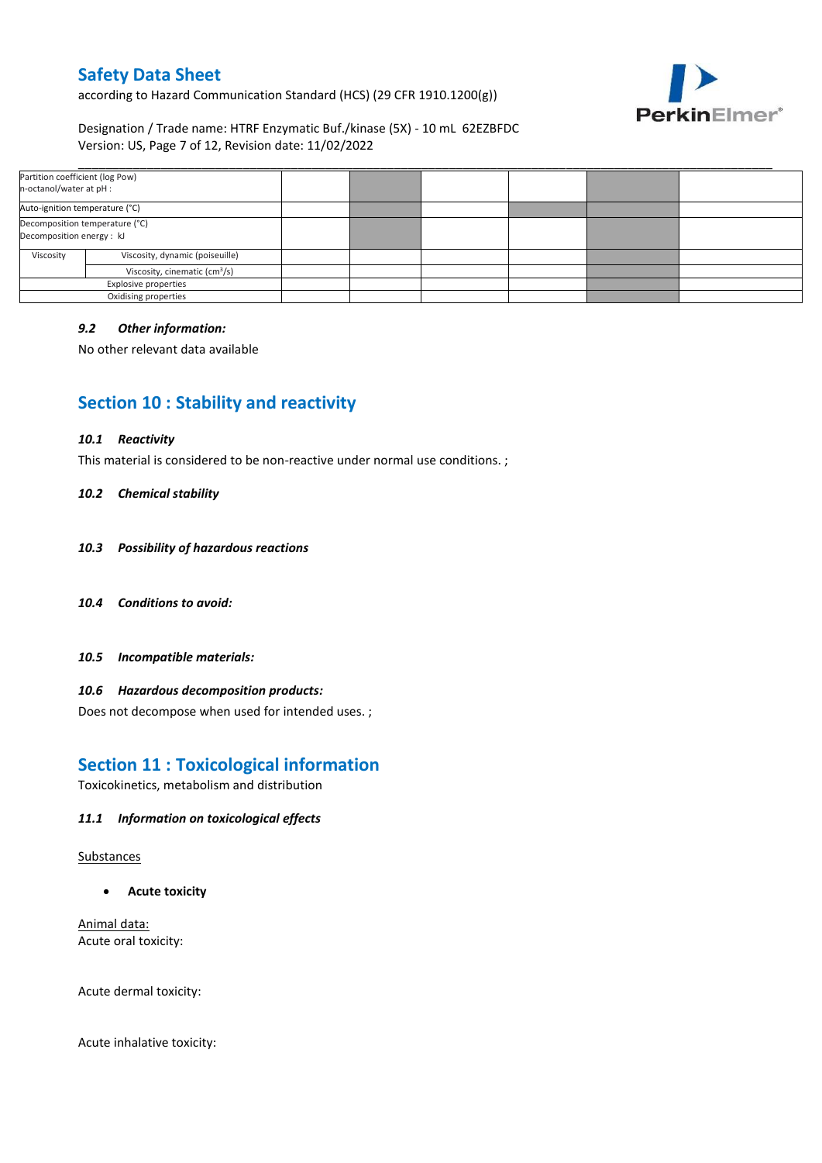according to Hazard Communication Standard (HCS) (29 CFR 1910.1200(g))



## Designation / Trade name: HTRF Enzymatic Buf./kinase (5X) - 10 mL 62EZBFDC Version: US, Page 7 of 12, Revision date: 11/02/2022

| Partition coefficient (log Pow)<br>n-octanol/water at pH :  |                                 |  |  |  |
|-------------------------------------------------------------|---------------------------------|--|--|--|
| Auto-ignition temperature (°C)                              |                                 |  |  |  |
| Decomposition temperature (°C)<br>Decomposition energy : kJ |                                 |  |  |  |
| Viscosity                                                   | Viscosity, dynamic (poiseuille) |  |  |  |
| Viscosity, cinematic (cm <sup>3</sup> /s)                   |                                 |  |  |  |
| Explosive properties                                        |                                 |  |  |  |
|                                                             | Oxidising properties            |  |  |  |

## *9.2 Other information:*

No other relevant data available

# **Section 10 : Stability and reactivity**

#### *10.1 Reactivity*

This material is considered to be non-reactive under normal use conditions. ;

#### *10.2 Chemical stability*

- *10.3 Possibility of hazardous reactions*
- *10.4 Conditions to avoid:*
- *10.5 Incompatible materials:*

#### *10.6 Hazardous decomposition products:*

Does not decompose when used for intended uses. ;

## **Section 11 : Toxicological information**

Toxicokinetics, metabolism and distribution

#### *11.1 Information on toxicological effects*

#### Substances

**Acute toxicity**

Animal data: Acute oral toxicity:

Acute dermal toxicity:

Acute inhalative toxicity: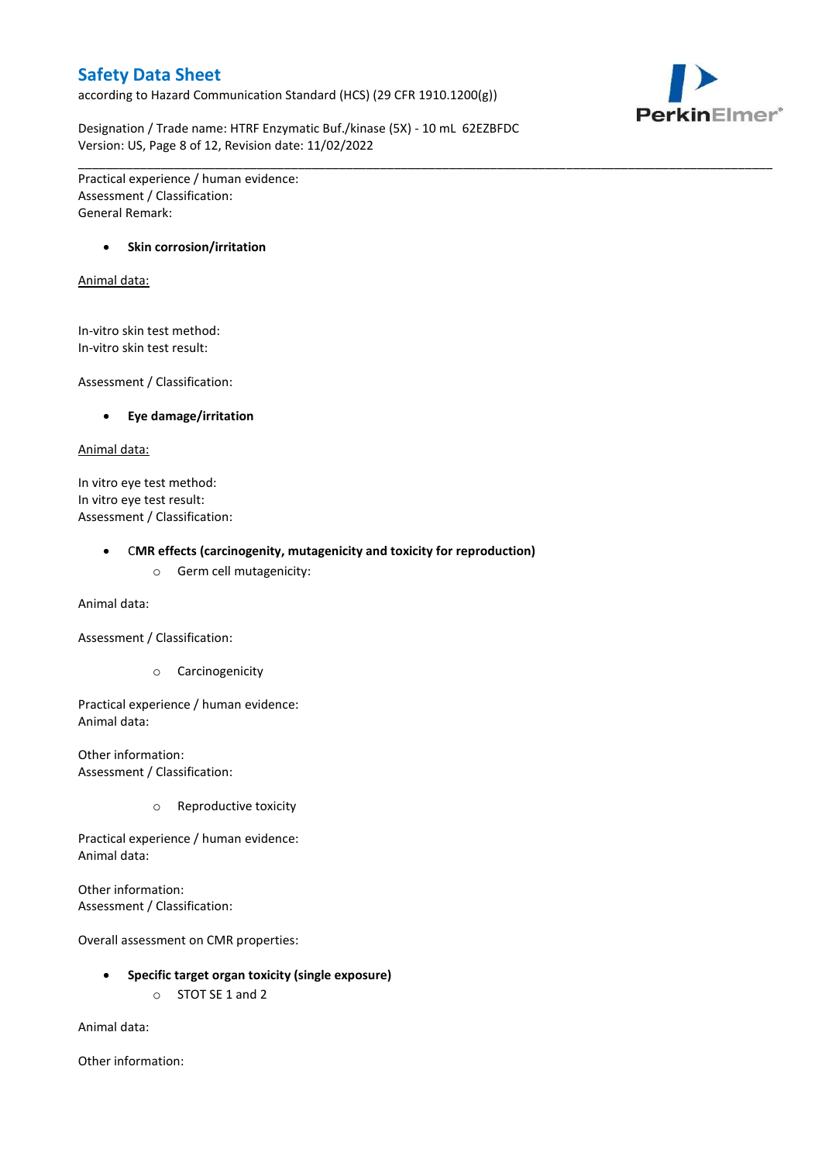according to Hazard Communication Standard (HCS) (29 CFR 1910.1200(g))



Designation / Trade name: HTRF Enzymatic Buf./kinase (5X) - 10 mL 62EZBFDC Version: US, Page 8 of 12, Revision date: 11/02/2022

\_\_\_\_\_\_\_\_\_\_\_\_\_\_\_\_\_\_\_\_\_\_\_\_\_\_\_\_\_\_\_\_\_\_\_\_\_\_\_\_\_\_\_\_\_\_\_\_\_\_\_\_\_\_\_\_\_\_\_\_\_\_\_\_\_\_\_\_\_\_\_\_\_\_\_\_\_\_\_\_\_\_\_\_\_\_\_\_\_\_\_\_\_\_\_\_\_\_\_\_\_

Practical experience / human evidence: Assessment / Classification: General Remark:

## **•** Skin corrosion/irritation

#### Animal data:

In-vitro skin test method: In-vitro skin test result:

Assessment / Classification:

#### **Eye damage/irritation**

#### Animal data:

In vitro eye test method: In vitro eye test result: Assessment / Classification:

#### C**MR effects (carcinogenity, mutagenicity and toxicity for reproduction)**

o Germ cell mutagenicity:

Animal data:

Assessment / Classification:

o Carcinogenicity

Practical experience / human evidence: Animal data:

Other information: Assessment / Classification:

o Reproductive toxicity

Practical experience / human evidence: Animal data:

Other information: Assessment / Classification:

Overall assessment on CMR properties:

- **Specific target organ toxicity (single exposure)**
	- o STOT SE 1 and 2

Animal data:

Other information: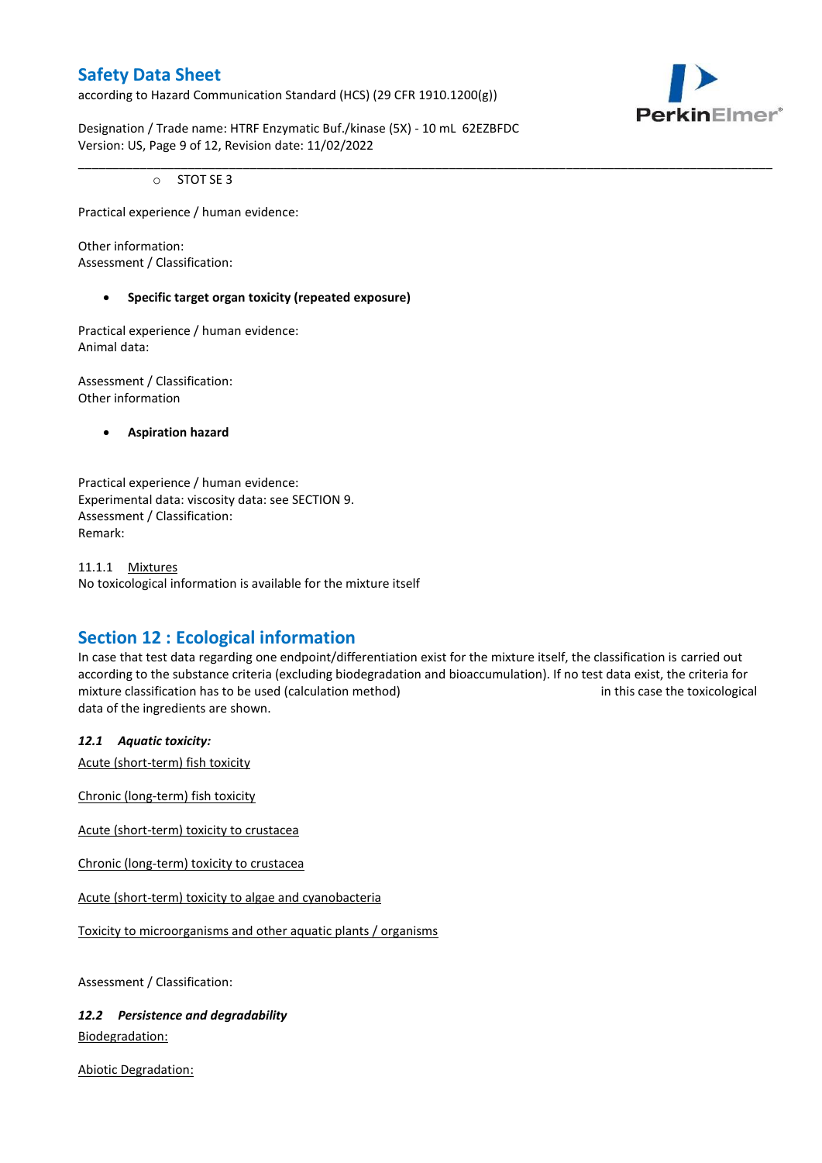according to Hazard Communication Standard (HCS) (29 CFR 1910.1200(g))



Designation / Trade name: HTRF Enzymatic Buf./kinase (5X) - 10 mL 62EZBFDC Version: US, Page 9 of 12, Revision date: 11/02/2022

o STOT SE 3

Practical experience / human evidence:

Other information: Assessment / Classification:

## **Specific target organ toxicity (repeated exposure)**

Practical experience / human evidence: Animal data:

Assessment / Classification: Other information

**Aspiration hazard**

Practical experience / human evidence: Experimental data: viscosity data: see SECTION 9. Assessment / Classification: Remark:

11.1.1 Mixtures No toxicological information is available for the mixture itself

# **Section 12 : Ecological information**

In case that test data regarding one endpoint/differentiation exist for the mixture itself, the classification is carried out according to the substance criteria (excluding biodegradation and bioaccumulation). If no test data exist, the criteria for mixture classification has to be used (calculation method) in this case the toxicological data of the ingredients are shown.

\_\_\_\_\_\_\_\_\_\_\_\_\_\_\_\_\_\_\_\_\_\_\_\_\_\_\_\_\_\_\_\_\_\_\_\_\_\_\_\_\_\_\_\_\_\_\_\_\_\_\_\_\_\_\_\_\_\_\_\_\_\_\_\_\_\_\_\_\_\_\_\_\_\_\_\_\_\_\_\_\_\_\_\_\_\_\_\_\_\_\_\_\_\_\_\_\_\_\_\_\_

## *12.1 Aquatic toxicity:*

Acute (short-term) fish toxicity

Chronic (long-term) fish toxicity

Acute (short-term) toxicity to crustacea

Chronic (long-term) toxicity to crustacea

Acute (short-term) toxicity to algae and cyanobacteria

Toxicity to microorganisms and other aquatic plants / organisms

Assessment / Classification:

*12.2 Persistence and degradability* Biodegradation:

Abiotic Degradation: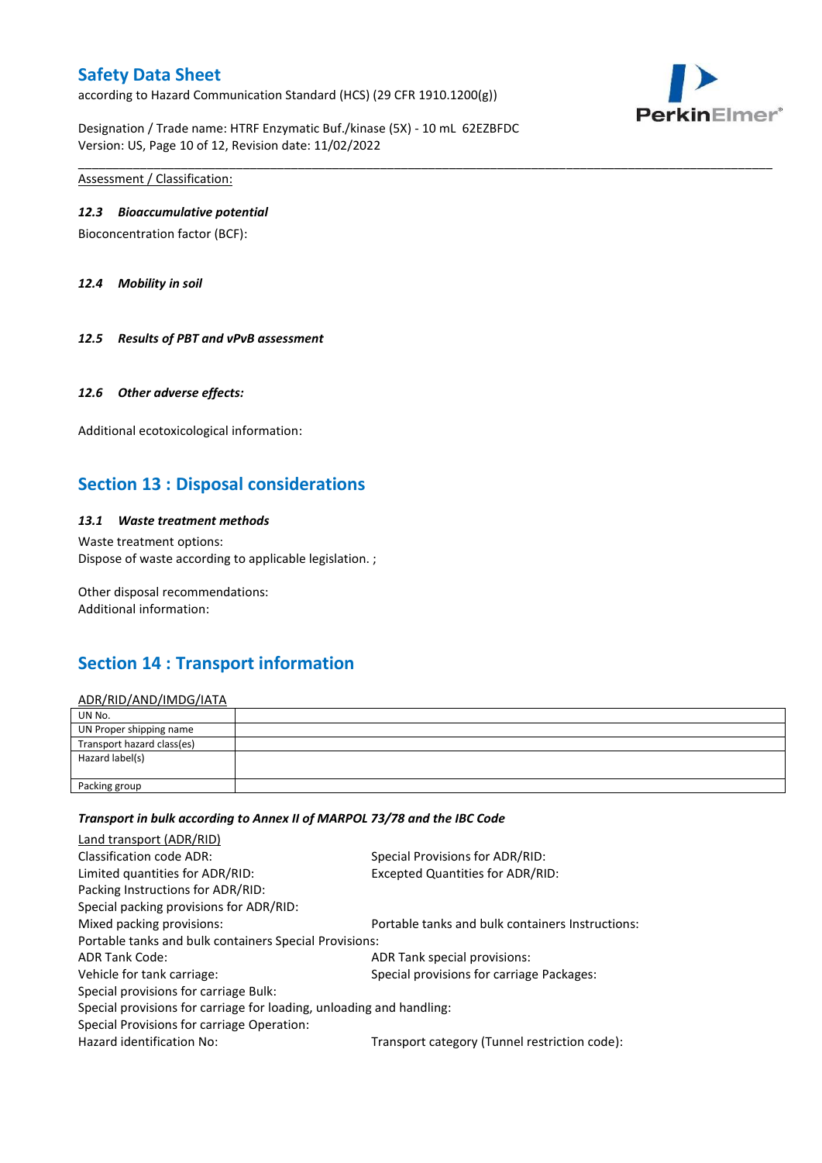according to Hazard Communication Standard (HCS) (29 CFR 1910.1200(g))



Designation / Trade name: HTRF Enzymatic Buf./kinase (5X) - 10 mL 62EZBFDC Version: US, Page 10 of 12, Revision date: 11/02/2022

Assessment / Classification:

#### *12.3 Bioaccumulative potential*

Bioconcentration factor (BCF):

*12.4 Mobility in soil*

*12.5 Results of PBT and vPvB assessment*

#### *12.6 Other adverse effects:*

Additional ecotoxicological information:

# **Section 13 : Disposal considerations**

## *13.1 Waste treatment methods*

Waste treatment options: Dispose of waste according to applicable legislation. ;

Other disposal recommendations: Additional information:

# **Section 14 : Transport information**

#### ADR/RID/AND/IMDG/IATA

| UN No.                     |  |
|----------------------------|--|
| UN Proper shipping name    |  |
| Transport hazard class(es) |  |
| Hazard label(s)            |  |
| Packing group              |  |

\_\_\_\_\_\_\_\_\_\_\_\_\_\_\_\_\_\_\_\_\_\_\_\_\_\_\_\_\_\_\_\_\_\_\_\_\_\_\_\_\_\_\_\_\_\_\_\_\_\_\_\_\_\_\_\_\_\_\_\_\_\_\_\_\_\_\_\_\_\_\_\_\_\_\_\_\_\_\_\_\_\_\_\_\_\_\_\_\_\_\_\_\_\_\_\_\_\_\_\_\_

#### *Transport in bulk according to Annex II of MARPOL 73/78 and the IBC Code*

| Special Provisions for ADR/RID:                                      |  |
|----------------------------------------------------------------------|--|
| Excepted Quantities for ADR/RID:                                     |  |
|                                                                      |  |
|                                                                      |  |
| Portable tanks and bulk containers Instructions:                     |  |
| Portable tanks and bulk containers Special Provisions:               |  |
| ADR Tank special provisions:                                         |  |
| Special provisions for carriage Packages:                            |  |
|                                                                      |  |
| Special provisions for carriage for loading, unloading and handling: |  |
|                                                                      |  |
| Transport category (Tunnel restriction code):                        |  |
|                                                                      |  |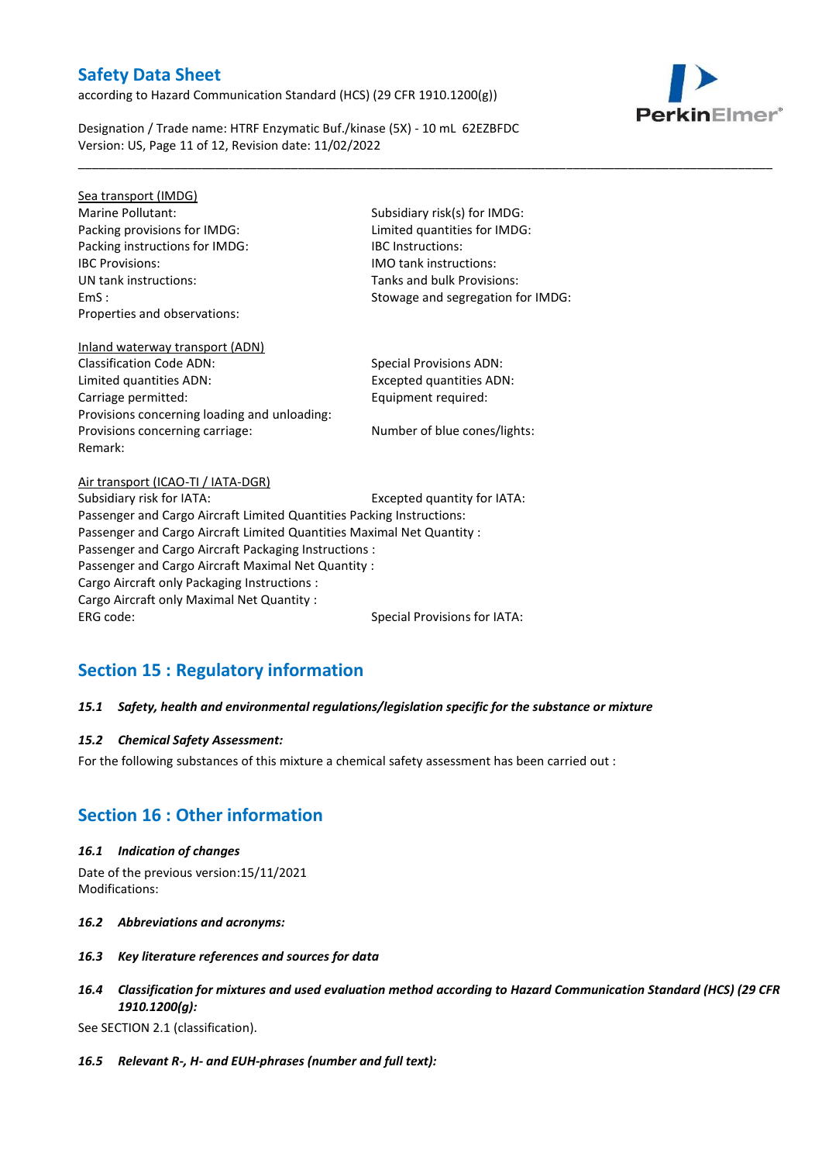according to Hazard Communication Standard (HCS) (29 CFR 1910.1200(g))



Designation / Trade name: HTRF Enzymatic Buf./kinase (5X) - 10 mL 62EZBFDC Version: US, Page 11 of 12, Revision date: 11/02/2022

Sea transport (IMDG) Marine Pollutant: Subsidiary risk(s) for IMDG: Packing provisions for IMDG: Limited quantities for IMDG: Packing instructions for IMDG: IBC Instructions: IBC Provisions: IMO tank instructions: UN tank instructions: Tanks and bulk Provisions: Properties and observations:

EmS : Stowage and segregation for IMDG:

\_\_\_\_\_\_\_\_\_\_\_\_\_\_\_\_\_\_\_\_\_\_\_\_\_\_\_\_\_\_\_\_\_\_\_\_\_\_\_\_\_\_\_\_\_\_\_\_\_\_\_\_\_\_\_\_\_\_\_\_\_\_\_\_\_\_\_\_\_\_\_\_\_\_\_\_\_\_\_\_\_\_\_\_\_\_\_\_\_\_\_\_\_\_\_\_\_\_\_\_\_

# Inland waterway transport (ADN)

Remark:

Classification Code ADN: Special Provisions ADN: Limited quantities ADN: Excepted quantities ADN: Carriage permitted: Carriage permitted: Provisions concerning loading and unloading: Provisions concerning carriage: Number of blue cones/lights:

Air transport (ICAO-TI / IATA-DGR) Subsidiary risk for IATA: Excepted quantity for IATA: Passenger and Cargo Aircraft Limited Quantities Packing Instructions: Passenger and Cargo Aircraft Limited Quantities Maximal Net Quantity : Passenger and Cargo Aircraft Packaging Instructions : Passenger and Cargo Aircraft Maximal Net Quantity : Cargo Aircraft only Packaging Instructions : Cargo Aircraft only Maximal Net Quantity : ERG code: Special Provisions for IATA:

# **Section 15 : Regulatory information**

## *15.1 Safety, health and environmental regulations/legislation specific for the substance or mixture*

## *15.2 Chemical Safety Assessment:*

For the following substances of this mixture a chemical safety assessment has been carried out :

# **Section 16 : Other information**

#### *16.1 Indication of changes*

Date of the previous version:15/11/2021 Modifications:

- *16.2 Abbreviations and acronyms:*
- *16.3 Key literature references and sources for data*
- *16.4 Classification for mixtures and used evaluation method according to Hazard Communication Standard (HCS) (29 CFR 1910.1200(g):*

See SECTION 2.1 (classification).

*16.5 Relevant R-, H- and EUH-phrases (number and full text):*